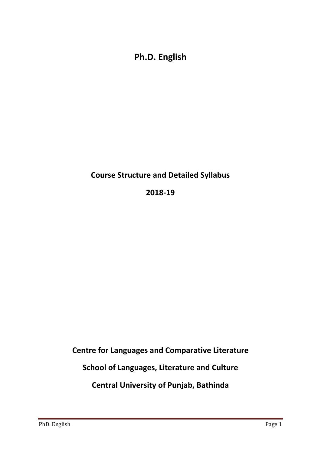**Ph.D. English** 

**Course Structure and Detailed Syllabus**

**2018-19**

**Centre for Languages and Comparative Literature**

**School of Languages, Literature and Culture**

**Central University of Punjab, Bathinda**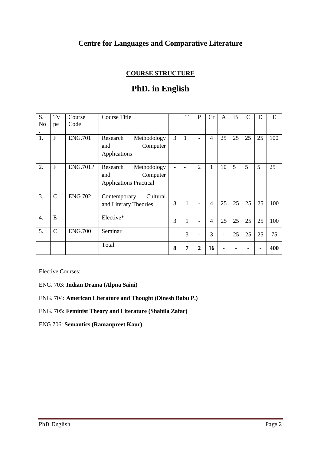# **Centre for Languages and Comparative Literature**

## **COURSE STRUCTURE**

# **PhD. in English**

| S.               | Ty            | Course          | <b>Course Title</b>                                                         | L | T            | $\mathbf P$ | Cr             | A  | B  | $\mathsf{C}$ | D  | E   |
|------------------|---------------|-----------------|-----------------------------------------------------------------------------|---|--------------|-------------|----------------|----|----|--------------|----|-----|
| No               | pe            | Code            |                                                                             |   |              |             |                |    |    |              |    |     |
| 1.               | $\mathbf{F}$  | <b>ENG.701</b>  | Research<br>Methodology<br>Computer<br>and<br>Applications                  | 3 | $\mathbf{1}$ |             | $\overline{4}$ | 25 | 25 | 25           | 25 | 100 |
| 2.               | $\mathbf{F}$  | <b>ENG.701P</b> | Research<br>Methodology<br>Computer<br>and<br><b>Applications Practical</b> |   |              | 2           | 1              | 10 | 5  | 5            | 5  | 25  |
| 3.               | $\mathcal{C}$ | <b>ENG.702</b>  | Cultural<br>Contemporary<br>and Literary Theories                           | 3 | 1            |             | $\overline{4}$ | 25 | 25 | 25           | 25 | 100 |
| $\overline{4}$ . | E             |                 | Elective*                                                                   | 3 | 1            |             | $\overline{4}$ | 25 | 25 | 25           | 25 | 100 |
| 5.               | $\mathcal{C}$ | <b>ENG.700</b>  | Seminar                                                                     |   | 3            |             | 3              |    | 25 | 25           | 25 | 75  |
|                  |               |                 | Total                                                                       | 8 | 7            | 2           | 16             |    |    |              |    | 400 |

Elective Courses:

- ENG. 703: **Indian Drama (Alpna Saini)**
- ENG. 704: **American Literature and Thought (Dinesh Babu P.)**
- ENG. 705: **Feminist Theory and Literature (Shahila Zafar)**

ENG.706: **Semantics (Ramanpreet Kaur)**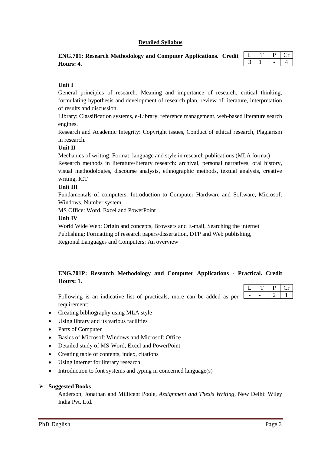## **Detailed Syllabus**

| ENG.701: Research Methodology and Computer Applications. Credit $\Box$ |  |
|------------------------------------------------------------------------|--|
| Hours: 4.                                                              |  |

## **Unit I**

General principles of research: Meaning and importance of research, critical thinking, formulating hypothesis and development of research plan, review of literature, interpretation of results and discussion.

Library: Classification systems, e-Library, reference management, web-based literature search engines.

Research and Academic Integrity: Copyright issues, Conduct of ethical research, Plagiarism in research.

## **Unit II**

Mechanics of writing: Format, language and style in research publications (MLA format)

Research methods in literature/literary research: archival, personal narratives, oral history, visual methodologies, discourse analysis, ethnographic methods, textual analysis, creative writing, ICT

## **Unit III**

Fundamentals of computers: Introduction to Computer Hardware and Software, Microsoft Windows, Number system

MS Office: Word, Excel and PowerPoint

## **Unit IV**

World Wide Web: Origin and concepts, Browsers and E-mail, Searching the internet Publishing: Formatting of research papers/dissertation, DTP and Web publishing, Regional Languages and Computers: An overview

## **ENG.701P: Research Methodology and Computer Applications - Practical. Credit Hours: 1.**

Following is an indicative list of practicals, more can be added as per requirement:

- Creating bibliography using MLA style
- Using library and its various facilities
- Parts of Computer
- Basics of Microsoft Windows and Microsoft Office
- Detailed study of MS-Word, Excel and PowerPoint
- Creating table of contents, index, citations
- Using internet for literary research
- Introduction to font systems and typing in concerned language(s)

#### **Suggested Books**

Anderson, Jonathan and Millicent Poole, *Assignment and Thesis Writing*, New Delhi: Wiley India Pvt. Ltd.

 $L$   $T$   $P$   $Cr$  $2$  1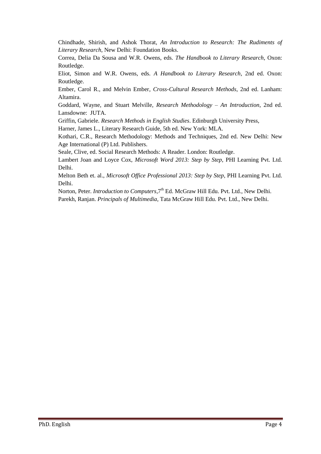Chindhade, Shirish, and Ashok Thorat, *An Introduction to Research: The Rudiments of Literary Research*, New Delhi: Foundation Books.

Correa, Delia Da Sousa and W.R. Owens, eds. *The Handbook to Literary Research*, Oxon: Routledge.

Eliot, Simon and W.R. Owens, eds. *A Handbook to Literary Research*, 2nd ed. Oxon: Routledge.

Ember, Carol R., and Melvin Ember*, Cross-Cultural Research Methods*, 2nd ed. Lanham: Altamira.

Goddard, Wayne, and Stuart Melville, *Research Methodology – An Introduction*, 2nd ed. Lansdowne: JUTA.

Griffin, Gabriele. *Research Methods in English Studies*. Edinburgh University Press,

Harner, James L., Literary Research Guide, 5th ed. New York: MLA.

Kothari, C.R., Research Methodology: Methods and Techniques, 2nd ed. New Delhi: New Age International (P) Ltd. Publishers.

Seale, Clive, ed. Social Research Methods: A Reader. London: Routledge.

Lambert Joan and Loyce Cox, *Microsoft Word 2013: Step by Step*, PHI Learning Pvt. Ltd. Delhi.

Melton Beth et. al., *Microsoft Office Professional 2013: Step by Step*, PHI Learning Pvt. Ltd. Delhi.

Norton, Peter. *Introduction to Computers*, 7<sup>th</sup> Ed. McGraw Hill Edu. Pvt. Ltd., New Delhi.

Parekh, Ranjan. *Principals of Multimedia*, Tata McGraw Hill Edu. Pvt. Ltd., New Delhi.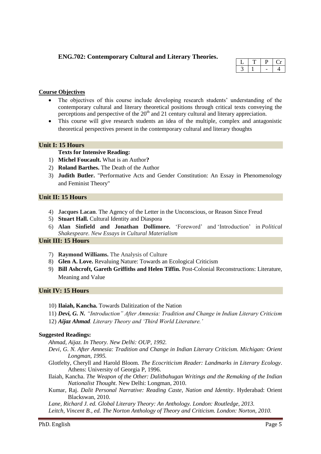## **ENG.702: Contemporary Cultural and Literary Theories.**

#### **Course Objectives**

- The objectives of this course include developing research students' understanding of the contemporary cultural and literary theoretical positions through critical texts conveying the perceptions and perspective of the  $20<sup>th</sup>$  and 21 century cultural and literary appreciation.
- This course will give research students an idea of the multiple, complex and antagonistic theoretical perspectives present in the contemporary cultural and literary thoughts

## **Unit I: 15 Hours**

## **Texts for Intensive Reading:**

- 1) **Michel Foucault.** What is an Author**?**
- 2) **Roland Barthes.** The Death of the Author
- 3) **Judith Butler.** "Performative Acts and Gender Constitution: An Essay in Phenomenology and Feminist Theory"

#### **Unit II: 15 Hours**

- 4) **Jacques Lacan**. The Agency of the Letter in the Unconscious, or Reason Since Freud
- 5) **Stuart Hall.** Cultural Identity and Diaspora
- 6) **Alan Sinfield and Jonathan Dollimore.** "Foreword" and "Introduction" in *Political Shakespeare. New Essays in Cultural Materialism*

## **Unit III: 15 Hours**

- 7) **Raymond Williams.** The Analysis of Culture
- 8) **Glen A. Love.** Revaluing Nature: Towards an Ecological Criticism
- 9) **Bill Ashcroft, Gareth Griffiths and Helen Tiffin.** Post-Colonial Reconstructions: Literature, Meaning and Value

#### **Unit IV: 15 Hours**

- 10) **Ilaiah, Kancha.** Towards Dalitization of the Nation
- 11) *Devi, G. N. "Introduction" After Amnesia: Tradition and Change in Indian Literary Criticism*  12) *Aijaz Ahmad. Literary Theory and "Third World Literature."*

#### **Suggested Readings:**

*Ahmad, Aijaz. In Theory. New Delhi: OUP, 1992.* 

- *Devi, G. N. After Amnesia: Tradition and Change in Indian Literary Criticism. Michigan: Orient Longman, 1995.*
- Glotfelty, Cheryll and Harold Bloom. *The Ecocriticism Reader: Landmarks in Literary Ecology*. Athens: University of Georgia P, 1996.
- Ilaiah, Kancha. *The Weapon of the Other: Dalitbahugan Writings and the Remaking of the Indian Nationalist Thought.* New Delhi: Longman, 2010.
- Kumar, Raj. *Dalit Personal Narrative: Reading Caste, Nation and Identity*. Hyderabad: Orient Blackswan, 2010.

*Lane, Richard J. ed. Global Literary Theory: An Anthology. London: Routledge, 2013.*

*Leitch, Vincent B., ed. The Norton Anthology of Theory and Criticism. London: Norton, 2010.*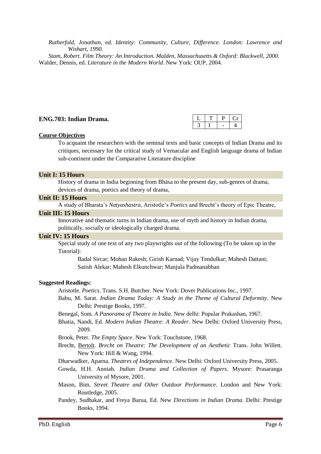*Rutherfold, Jonathan, ed. Identity: Community, Culture, Difference. London: Lawrence and Wishart, 1990.* 

*Stam, Robert. Film Theory: An Introduction. Malden, Massachusetts & Oxford: Blackwell, 2000.*  Walder, Dennis, ed. *Literature in the Modern World*. New York: OUP, 2004.

#### **ENG.703: Indian Drama.**

#### **Course Objectives**

To acquaint the researchers with the seminal texts and basic concepts of Indian Drama and its critiques, necessary for the critical study of Vernacular and English language drama of Indian sub-continent under the Comparative Literature discipline

#### **Unit I: 15 Hours**

History of drama in India beginning from Bhäsa to the present day, sub-genres of drama, devices of drama, poetics and theory of drama,

#### **Unit II: 15 Hours**

A study of Bharata"s *Natyashastra*, Aristotle"s *Poetics* and Brecht"s theory of Epic Theatre,

#### **Unit III: 15 Hours**

Innovative and thematic turns in Indian drama, use of myth and history in Indian drama, politically, socially or ideologically charged drama.

#### **Unit IV: 15 Hours**

Special study of one text of any two playwrights out of the following (To be taken up in the Tutorial):

Badal Sircar; Mohan Rakesh; Girish Karnad; Vijay Tendulkar; Mahesh Dattani; Satish Alekar; Mahesh Elkunchwar; Manjula Padmanabhan

#### **Suggested Readings:**

Aristotle. *Poetics*. Trans. S.H. Butcher. New York: Dover Publications Inc., 1997.

- Babu, M. Sarat. *Indian Drama Today: A Study in the Theme of Cultural Deformity*. New Delhi: Prestige Books, 1997.
- Benegal, Som. *A Panorama of Theatre in India*. New delhi: Popular Prakashan, 1967.
- Bhatia, Nandi, Ed. *Modern Indian Theatre: A Reader*. New Delhi: Oxford University Press, 2009.
- Brook, Peter. *The Empty Space*. New York: Touchstone, 1968.
- Brecht, [Bertolt.](http://www.amazon.co.uk/Bertolt-Brecht/e/B000AR9PKY/ref=ntt_athr_dp_pel_1/280-4124578-7014667) *Brecht on Theatre: The Development of an Aesthetic* Trans. John Willett. New York: Hill & Wang, 1994.
- Dharwadker, Aparna. *Theatres of Independence*. New Delhi: Oxford University Press, 2005.
- Gowda, H.H. Anniah. *Indian Drama and Collection of Papers*. Mysore: Prasaranga University of Mysore, 2001.
- Mason, Bim. *Street Theatre and Other Outdoor Performance*. London and New York: Routledge, 2005.
- Pandey, Sudhakar, and Freya Barua, Ed. New *Directions in Indian Drama*. Delhi: Prestige Books, 1994.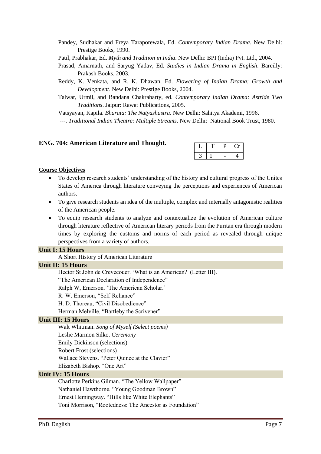- Pandey, Sudhakar and Freya Taraporewala, Ed. *Contemporary Indian Drama*. New Delhi: Prestige Books, 1990.
- Patil, Prabhakar, Ed. *Myth and Tradition in India*. New Delhi: BPI (India) Pvt. Ltd., 2004.
- Prasad, Amarnath, and Saryug Yadav, Ed. *Studies in Indian Drama in English*. Bareilly: Prakash Books, 2003.
- Reddy, K. Venkata, and R. K. Dhawan, Ed. *Flowering of Indian Drama: Growth and Development*. New Delhi: Prestige Books, 2004.
- Talwar, Urmil, and Bandana Chakrabarty, ed. *Contemporary Indian Drama: Astride Two Traditions*. Jaipur: Rawat Publications, 2005.

Vatsyayan, Kapila. *Bharata: The Natyashastra*. New Delhi: Sahitya Akademi, 1996.

---. *Traditional Indian Theatre: Multiple Streams*. New Delhi: National Book Trust, 1980.

## **ENG. 704: American Literature and Thought.**

#### **Course Objectives**

- To develop research students' understanding of the history and cultural progress of the Unites States of America through literature conveying the perceptions and experiences of American authors.
- To give research students an idea of the multiple, complex and internally antagonistic realities of the American people.
- To equip research students to analyze and contextualize the evolution of American culture through literature reflective of American literary periods from the Puritan era through modern times by exploring the customs and norms of each period as revealed through unique perspectives from a variety of authors.

#### **Unit I: 15 Hours**

A Short History of American Literature

#### **Unit II: 15 Hours**

Hector St John de Crevecouer. "What is an American? (Letter III).

"The American Declaration of Independence"

Ralph W, Emerson. "The American Scholar."

R. W. Emerson, "Self‐Reliance"

H. D. Thoreau, "Civil Disobedience"

Herman Melville, "Bartleby the Scrivener"

#### **Unit III: 15 Hours**

Walt Whitman. *Song of Myself (Select poems)*

Leslie Marmon Silko. *Ceremony* 

Emily Dickinson (selections)

Robert Frost (selections)

Wallace Stevens. "Peter Quince at the Clavier"

Elizabeth Bishop. "One Art"

## **Unit IV: 15 Hours**

Charlotte Perkins Gilman. "The Yellow Wallpaper" Nathaniel Hawthorne. "Young Goodman Brown" Ernest Hemingway. "Hills like White Elephants" Toni Morrison, "Rootedness: The Ancestor as Foundation"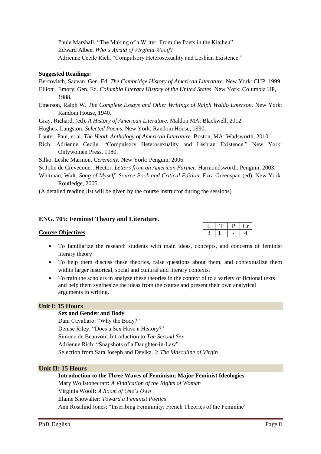Paule Marshall. "The Making of a Writer: From the Poets in the Kitchen" Edward Albee. *Who"s Afraid of Virginia Woolf*? Adrienne Cecile Rich. "Compulsory Heterosexuality and Lesbian Existence."

## **Suggested Readings:**

Bercovitch, Sacvan. Gen. Ed. *The Cambridge History of American Literature*. New York: CUP, 1999.

- Elliott , Emory, Gen. Ed. *Columbia Literary History of the United States*. New York: Columbia UP, 1988.
- Emerson, Ralph W. *The Complete Essays and Other Writings of Ralph Waldo Emerson.* New York: Random House, 1940.
- Gray, Richard, (ed). *A History of American Literature.* Maldon MA: Blackwell, 2012.
- Hughes, Langston. *Selected Poems.* New York: Random House, 1990.
- Lauter, Paul, et al. *The Heath Anthology of American Literature*. Boston, MA: Wadsworth, 2010.
- Rich, Adrienne Cecile. "Compulsory Heterosexuality and Lesbian Existence." New York: Onlywomen Press, 1980.

Silko, Leslie Marmon. *Ceremony.* New York: Penguin, 2006.

St John de Crevecouer, Hector. *Letters from an American Farmer.* Harmondsworth: Penguin, 2003.

Whitman, Walt. *Song of Myself: Source Book and Critical Edition*. Ezra Greenspan (ed). New York: Routledge, 2005.

(A detailed reading list will be given by the course instructor during the sessions)

## **ENG. 705: Feminist Theory and Literature.**

#### **Course Objectives**

- To familiarize the research students with main ideas, concepts, and concerns of feminist literary theory
- To help them discuss these theories, raise questions about them, and contextualize them within larger historical, social and cultural and literary contexts.
- To train the scholars in analyze these theories in the context of to a variety of fictional texts and help them synthesize the ideas from the course and present their own analytical arguments in writing.

## **Unit I: 15 Hours**

#### **Sex and Gender and Body**

Dani Cavallaro: "Why the Body?" Denise Riley: "Does a Sex Have a History?" Simone de Beauvoir: Introduction to *The Second Sex* Adrienne Rich: "Snapshots of a Daughter-in-Law" Selection from Sara Joseph and Devika. J: *The Masculine of Virgin*

## **Unit II: 15 Hours**

**Introduction to the Three Waves of Feminism; Major Feminist Ideologies** Mary Wollstonecraft: *A Vindication of the Rights of Woman* Virginia Woolf: *A Room of One"s Own* Elaine Showalter: *Toward a Feminist Poetics* Ann Rosalind Jones: "Inscribing Femininity: French Theories of the Feminine"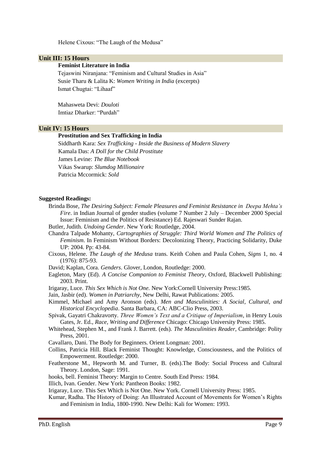Helene Cixous: "The Laugh of the Medusa"

## **Unit III: 15 Hours**

#### **Feminist Literature in India**

 Tejaswini Niranjana: "Feminism and Cultural Studies in Asia" Susie Tharu & Lalita K: *Women Writing in India* (excerpts) Ismat Chugtai: "Lihaaf"

 Mahasweta Devi: *Douloti* Imtiaz Dharker: "Purdah"

## **Unit IV: 15 Hours**

#### **Prostitution and Sex Trafficking in India**

Siddharth Kara: *Sex Trafficking - Inside the Business of Modern Slavery* Kamala Das: *A Doll for the Child Prostitute* James Levine: *The Blue Notebook* Vikas Swarup: *Slumdog Millionaire* Patricia Mccormick: *Sold*

#### **Suggested Readings:**

- Brinda Bose, *The Desiring Subject: Female Pleasures and Feminist Resistance in Deepa Mehta"s Fire*. in Indian Journal of gender studies (volume 7 Number 2 July – December 2000 Special Issue: Feminism and the Politics of Resistance) Ed. Rajeswari Sunder Rajan.
- Butler, Judith. *Undoing Gender*. New York: Routledge, 2004.
- Chandra Talpade Mohanty, *Cartographies of Struggle: Third World Women and The Politics of Feminism*. In Feminism Without Borders: Decolonizing Theory, Practicing Solidarity, Duke UP: 2004. Pp: 43-84.
- Cixous, Helene. *The Laugh of the Medusa* trans. Keith Cohen and Paula Cohen, *Signs* 1, no. 4 (1976): 875-93.
- David; Kaplan, Cora. *Genders*. Glover, London, Routledge: 2000.
- Eagleton, Mary (Ed). *A Concise Companion to Feminist Theory*, Oxford, Blackwell Publishing: 2003. Print.
- Irigaray, Luce*. This Sex Which is Not One.* New York:Cornell University Press:1985.
- Jain, Jasbir (ed). *Women in Patriarchy*, New Delhi, Rawat Publications: 2005.
- Kimmel, Michael and Amy Aronson (eds). *Men and Masculinities: A Social, Cultural, and Historical Encyclopedia*. Santa Barbara, CA: ABC-Clio Press, 2003.

Spivak, Gayatri Chakravorty. *Three Women"s Text and a Critique of Imperialism*, in Henry Louis Gates, Jr. Ed., *Race, Writing and Difference* Chicago: Chicago University Press: 1985.

- Whitehead, Stephen M., and Frank J. Barrett. (eds). *The Masculinities Reader,* Cambridge: Polity Press, 2001.
- Cavallaro, Dani. The Body for Beginners. Orient Longman: 2001.
- Collins, Patricia Hill. Black Feminist Thought: Knowledge, Consciousness, and the Politics of Empowerment. Routledge: 2000.
- Featherstone M., Hepworth M. and Turner, B. (eds).The Body: Social Process and Cultural Theory. London, Sage: 1991.
- hooks, bell. Feminist Theory: Margin to Centre. South End Press: 1984.
- Illich, Ivan. Gender. New York: Pantheon Books: 1982.
- Irigaray, Luce. This Sex Which is Not One. New York. Cornell University Press: 1985.
- Kumar, Radha. The History of Doing: An Illustrated Account of Movements for Women"s Rights and Feminism in India, 1800-1990. New Delhi: Kali for Women: 1993.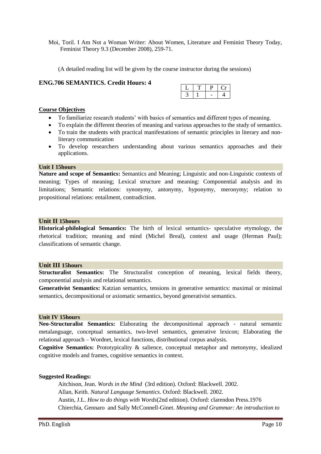Moi, Toril. I Am Not a Woman Writer: About Women, Literature and Feminist Theory Today, Feminist Theory 9.3 (December 2008), 259-71.

(A detailed reading list will be given by the course instructor during the sessions)

## **ENG.706 SEMANTICS. Credit Hours: 4**

## **Course Objectives**

- To familiarize research students' with basics of semantics and different types of meaning.
- To explain the different theories of meaning and various approaches to the study of semantics.
- To train the students with practical manifestations of semantic principles in literary and nonliterary communication
- To develop researchers understanding about various semantics approaches and their applications.

#### **Unit I 15hours**

**Nature and scope of Semantics:** Semantics and Meaning; Linguistic and non-Linguistic contexts of meaning; Types of meaning; Lexical structure and meaning: Componential analysis and its limitations; Semantic relations: synonymy, antonymy, hyponymy, meronymy; relation to propositional relations: entailment, contradiction.

#### **Unit II 15hours**

**Historical-philological Semantics:** The birth of lexical semantics- speculative etymology, the rhetorical tradition; meaning and mind (Michel Breal), context and usage (Herman Paul); classifications of semantic change.

#### **Unit III 15hours**

**Structuralist Semantics:** The Structuralist conception of meaning, lexical fields theory, componential analysis and relational semantics.

**Generativist Semantics:** Katzian semantics, tensions in generative semantics: maximal or minimal semantics, decompositional or axiomatic semantics, beyond generativist semantics.

## **Unit IV 15hours**

**Neo-Structuralist Semantics:** Elaborating the decompositional approach - natural semantic metalanguage, conceptual semantics, two-level semantics, generative lexicon; Elaborating the relational approach – Wordnet, lexical functions, distributional corpus analysis.

**Cognitive Semantics:** Prototypicality & salience, conceptual metaphor and metonymy, idealized cognitive models and frames, cognitive semantics in context.

#### **Suggested Readings:**

Aitchison, Jean. *Words in the Mind* (3rd edition). Oxford: Blackwell. 2002. Allan, Keith. *Natural Language Semantics*. Oxford: Blackwell. 2002. Austin, J.L. *How to do things with Words*(2nd edition). Oxford: clarendon Press.1976 Chierchia, Gennaro and Sally McConnell-Ginet. *Meaning and Grammar: An introduction to*